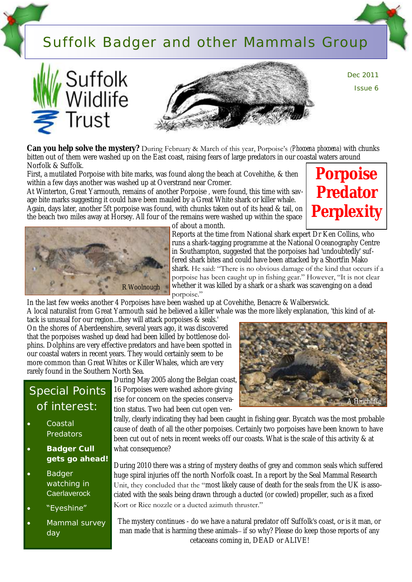## Suffolk Badger and other Mammals Group







Dec 2011 Issue 6

**Can you help solve the mystery?** During February & March of this year, Porpoise's (*Phocoena phocoena)* with chunks bitten out of them were washed up on the East coast, raising fears of large predators in our coastal waters around Norfolk & Suffolk.

First, a mutilated Porpoise with bite marks, was found along the beach at Covehithe, & then within a few days another was washed up at Overstrand near Cromer.

At Winterton, Great Yarmouth, remains of another Porpoise *,* were found, this time with savage bite marks suggesting it could have been mauled by a Great White shark or killer whale. Again, days later, another 5ft porpoise was found, with chunks taken out of its head & tail, on the beach two miles away at Horsey. All four of the remains were washed up within the space





of about a month. Reports at the time from National shark expert Dr Ken Collins, who runs a shark-tagging programme at the National Oceanography Centre in Southampton, suggested that the porpoises had 'undoubtedly' suffered shark bites and could have been attacked by a Shortfin Mako shark. He said: "There is no obvious damage of the kind that occurs if a

porpoise has been caught up in fishing gear." However, "It is not clear whether it was killed by a shark or a shark was scavenging on a dead porpoise."

In the last few weeks another 4 Porpoises have been washed up at Covehithe, Benacre & Walberswick.

A local naturalist from Great Yarmouth said he believed a killer whale was the more likely explanation, 'this kind of attack is unusual for our region...they will attack porpoises & seals.'

On the shores of Aberdeenshire, several years ago, it was discovered that the porpoises washed up dead had been killed by bottlenose dolphins. Dolphins are very effective predators and have been spotted in our coastal waters in recent years. They would certainly seem to be more common than Great Whites or Killer Whales, which are very rarely found in the Southern North Sea.

## Special Points of interest:

- Coastal Predators
- **Badger Cull gets go ahead!**
- Badger watching in **Caerlaverock**
- "Eyeshine"
- Mammal survey day

During May 2005 along the Belgian coast, 16 Porpoises were washed ashore giving rise for concern on the species conservation status. Two had been cut open ven-



trally, clearly indicating they had been caught in fishing gear. Bycatch was the most probable cause of death of all the other porpoises. Certainly two porpoises have been known to have been cut out of nets in recent weeks off our coasts. What is the scale of this activity & at what consequence?

During 2010 there was a string of mystery deaths of grey and common seals which suffered huge spiral injuries off the north Norfolk coast. In a report by the Seal Mammal Research Unit, they concluded that the "most likely cause of death for the seals from the UK is associated with the seals being drawn through a ducted (or cowled) propeller, such as a fixed Kort or Rice nozzle or a ducted azimuth thruster."

The mystery continues - do we have a natural predator off Suffolk's coast, or is it man, or man made that is harming these animals– if so why? Please do keep those reports of any cetaceans coming in, DEAD or ALIVE!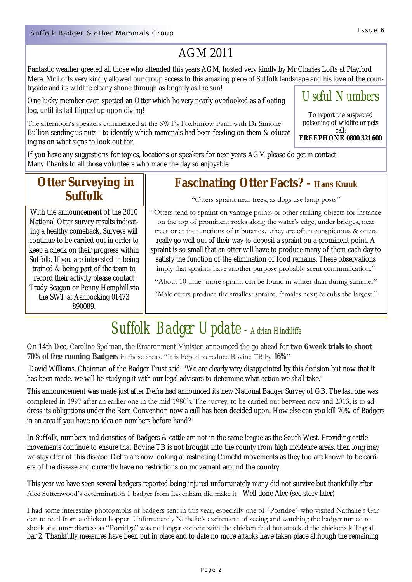## AGM 2011

Fantastic weather greeted all those who attended this years AGM, hosted very kindly by Mr Charles Lofts at Playford Mere. Mr Lofts very kindly allowed our group access to this amazing piece of Suffolk landscape and his love of the countryside and its wildlife clearly shone through as brightly as the sun!

One lucky member even spotted an Otter which he very nearly overlooked as a floating log, until its tail flipped up upon diving!

The afternoon's speakers commenced at the SWT's Foxburrow Farm with Dr Simone Bullion sending us nuts - to identify which mammals had been feeding on them & educating us on what signs to look out for.

**FREEPHONE 0800 321 600**

If you have any suggestions for topics, locations or speakers for next years AGM please do get in contact. Many Thanks to all those volunteers who made the day so enjoyable.

### **Otter Surveying in Suffolk**

With the announcement of the 2010 National Otter survey results indicating a healthy comeback, Surveys will continue to be carried out in order to keep a check on their progress within Suffolk. If you are interested in being trained & being part of the team to record their activity please contact Trudy Seagon or Penny Hemphill via the SWT at Ashbocking 01473 890089.

### **Fascinating Otter Facts? - Hans Kruuk**

"Otters spraint near trees, as dogs use lamp posts"

"Otters tend to spraint on vantage points or other striking objects for instance on the top of prominent rocks along the water's edge, under bridges, near trees or at the junctions of tributaries…they are often conspicuous & otters really go well out of their way to deposit a spraint on a prominent point. A

spraint is so small that an otter will have to produce many of them each day to satisfy the function of the elimination of food remains. These observations imply that spraints have another purpose probably scent communication."

"About 10 times more spraint can be found in winter than during summer"

"Male otters produce the smallest spraint; females next; & cubs the largest."

# *Suffolk Badger Update - Adrian Hinchliffe*

On 14th Dec, Caroline Spelman, the Environment Minister, announced the go ahead for **two 6 week trials to shoot 70% of free running Badgers** in those areas. "It is hoped to reduce Bovine TB by **16%**"

David Williams, Chairman of the Badger Trust said: "We are clearly very disappointed by this decision but now that it has been made, we will be studying it with our legal advisors to determine what action we shall take."

This announcement was made just after Defra had announced its new National Badger Survey of GB. The last one was completed in 1997 after an earlier one in the mid 1980's. The survey, to be carried out between now and 2013, is to address its obligations under the Bern Convention now a cull has been decided upon. How else can you kill 70% of Badgers in an area if you have no idea on numbers before hand?

In Suffolk, numbers and densities of Badgers & cattle are not in the same league as the South West. Providing cattle movements continue to ensure that Bovine TB is not brought into the county from high incidence areas, then long may we stay clear of this disease. Defra are now looking at restricting Camelid movements as they too are known to be carriers of the disease and currently have no restrictions on movement around the country.

This year we have seen several badgers reported being injured unfortunately many did not survive but thankfully after Alec Suttenwood's determination 1 badger from Lavenham did make it - Well done Alec (see story later)

I had some interesting photographs of badgers sent in this year, especially one of "Porridge" who visited Nathalie's Garden to feed from a chicken hopper. Unfortunately Nathalie's excitement of seeing and watching the badger turned to shock and utter distress as "Porridge" was no longer content with the chicken feed but attacked the chickens killing all bar 2. Thankfully measures have been put in place and to date no more attacks have taken place although the remaining

## *Useful Numbers*

To report the suspected poisoning of wildlife or pets call: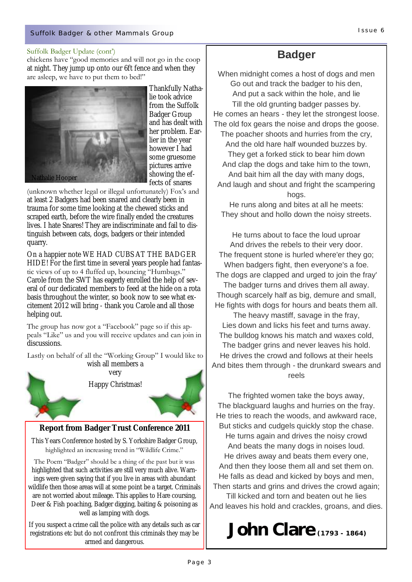#### Suffolk Badger Update (cont')

chickens have "good memories and will not go in the coop at night. They jump up onto our 6ft fence and when they are asleep, we have to put them to bed!"



Thankfully Nathalie took advice from the Suffolk Badger Group and has dealt with her problem. Earlier in the year however I had some gruesome pictures arrive showing the effects of snares

(unknown whether legal or illegal unfortunately) Fox's and at least 2 Badgers had been snared and clearly been in trauma for some time looking at the chewed sticks and scraped earth, before the wire finally ended the creatures lives. I hate Snares! They are indiscriminate and fail to distinguish between cats, dogs, badgers or their intended quarry.

On a happier note WE HAD CUBS AT THE BADGER HIDE! For the first time in several years people had fantastic views of up to 4 fluffed up, bouncing "Humbugs." Carole from the SWT has eagerly enrolled the help of several of our dedicated members to feed at the hide on a rota basis throughout the winter, so book now to see what excitement 2012 will bring - thank you Carole and all those helping out.

The group has now got a "Facebook" page so if this appeals "Like" us and you will receive updates and can join in discussions.

Lastly on behalf of all the "Working Group" I would like to





**Report from Badger Trust Conference 2011**

This Years Conference hosted by S. Yorkshire Badger Group, highlighted an increasing trend in "Wildlife Crime."

The Poem "Badger" should be a thing of the past but it was highlighted that such activities are still very much alive. Warnings were given saying that if you live in areas with abundant wildlife then those areas will at some point be a target. Criminals are not worried about mileage. This applies to Hare coursing, Deer & Fish poaching, Badger digging, baiting & poisoning as well as lamping with dogs.

If you suspect a crime call the police with any details such as car registrations etc but do not confront this criminals they may be armed and dangerous.

### **Badger**

When midnight comes a host of dogs and men Go out and track the badger to his den, And put a sack within the hole, and lie Till the old grunting badger passes by. He comes an hears - they let the strongest loose. The old fox gears the noise and drops the goose. The poacher shoots and hurries from the cry, And the old hare half wounded buzzes by. They get a forked stick to bear him down And clap the dogs and take him to the town, And bait him all the day with many dogs, And laugh and shout and fright the scampering hogs.

He runs along and bites at all he meets: They shout and hollo down the noisy streets.

He turns about to face the loud uproar And drives the rebels to their very door. The frequent stone is hurled where'er they go; When badgers fight, then everyone's a foe. The dogs are clapped and urged to join the fray' The badger turns and drives them all away. Though scarcely half as big, demure and small, He fights with dogs for hours and beats them all.

The heavy mastiff, savage in the fray, Lies down and licks his feet and turns away. The bulldog knows his match and waxes cold, The badger grins and never leaves his hold. He drives the crowd and follows at their heels And bites them through - the drunkard swears and reels

The frighted women take the boys away, The blackguard laughs and hurries on the fray. He tries to reach the woods, and awkward race, But sticks and cudgels quickly stop the chase. He turns again and drives the noisy crowd And beats the many dogs in noises loud. He drives away and beats them every one, And then they loose them all and set them on. He falls as dead and kicked by boys and men, Then starts and grins and drives the crowd again; Till kicked and torn and beaten out he lies And leaves his hold and crackles, groans, and dies.

## **John Clare(1793 - 1864)**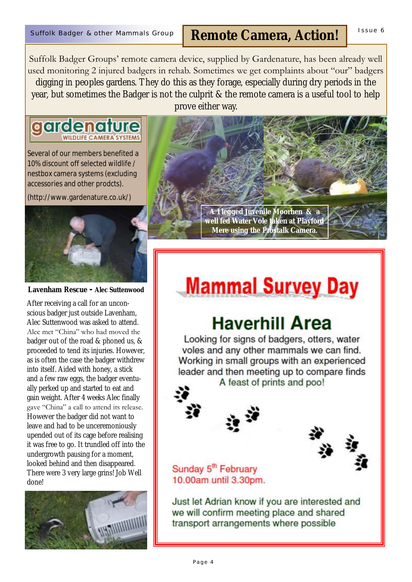## Suffolk Badger & other Mammals Group | Remote Camera, Action! | <sup>Issue 6</sup>

Suffolk Badger Groups' remote camera device, supplied by Gardenature, has been already well used monitoring 2 injured badgers in rehab. Sometimes we get complaints about "our" badgers digging in peoples gardens. They do this as they forage, especially during dry periods in the year, but sometimes the Badger is not the culprit & the remote camera is a useful tool to help prove either way.

#### aardenat **WILDLIFE CAMERA SYSTEM:**

Several of our members benefited a 10% discount off selected wildlife / nestbox camera systems (excluding accessories and other prodcts).

(http://www.gardenature.co.uk/)



**Lavenham Rescue - Alec Suttenwood**

After receiving a call for an unconscious badger just outside Lavenham, Alec Suttenwood was asked to attend. Alec met "China" who had moved the badger out of the road & phoned us, & proceeded to tend its injuries. However, as is often the case the badger withdrew into itself. Aided with honey, a stick and a few raw eggs, the badger eventually perked up and started to eat and gain weight. After 4 weeks Alec finally gave "China" a call to attend its release. However the badger did not want to leave and had to be unceremoniously upended out of its cage before realising it was free to go. It trundled off into the undergrowth pausing for a moment, looked behind and then disappeared. There were 3 very large grins! Job Well done!





# **Mammal Survey Day**

# **Haverhill Area**

Looking for signs of badgers, otters, water voles and any other mammals we can find. Working in small groups with an experienced leader and then meeting up to compare finds A feast of prints and poo!

#### Sunday 5<sup>th</sup> February 10.00am until 3.30pm.

Just let Adrian know if you are interested and we will confirm meeting place and shared transport arrangements where possible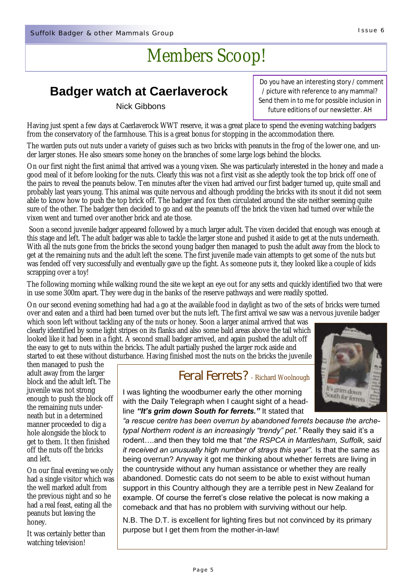# Members Scoop!

### **Badger watch at Caerlaverock**

#### Nick Gibbons

 Do you have an interesting story / comment / picture with reference to any mammal? Send them in to me for possible inclusion in future editions of our newsletter. AH

Having just spent a few days at Caerlaverock WWT reserve, it was a great place to spend the evening watching badgers from the conservatory of the farmhouse. This is a great bonus for stopping in the accommodation there.

The warden puts out nuts under a variety of guises such as two bricks with peanuts in the frog of the lower one, and under larger stones. He also smears some honey on the branches of some large logs behind the blocks.

On our first night the first animal that arrived was a young vixen. She was particularly interested in the honey and made a good meal of it before looking for the nuts. Clearly this was not a first visit as she adeptly took the top brick off one of the pairs to reveal the peanuts below. Ten minutes after the vixen had arrived our first badger turned up, quite small and probably last years young. This animal was quite nervous and although prodding the bricks with its snout it did not seem able to know how to push the top brick off. The badger and fox then circulated around the site neither seeming quite sure of the other. The badger then decided to go and eat the peanuts off the brick the vixen had turned over while the vixen went and turned over another brick and ate those.

Soon a second juvenile badger appeared followed by a much larger adult. The vixen decided that enough was enough at this stage and left. The adult badger was able to tackle the larger stone and pushed it aside to get at the nuts underneath. With all the nuts gone from the bricks the second young badger then managed to push the adult away from the block to get at the remaining nuts and the adult left the scene. The first juvenile made vain attempts to get some of the nuts but was fended off very successfully and eventually gave up the fight. As someone puts it, they looked like a couple of kids scrapping over a toy!

The following morning while walking round the site we kept an eye out for any setts and quickly identified two that were in use some 300m apart. They were dug in the banks of the reserve pathways and were readily spotted.

On our second evening something had had a go at the available food in daylight as two of the sets of bricks were turned over and eaten and a third had been turned over but the nuts left. The first arrival we saw was a nervous juvenile badger

which soon left without tackling any of the nuts or honey. Soon a larger animal arrived that was clearly identified by some light stripes on its flanks and also some bald areas above the tail which looked like it had been in a fight. A second small badger arrived, and again pushed the adult off the easy to get to nuts within the bricks. The adult partially pushed the larger rock aside and started to eat these without disturbance. Having finished most the nuts on the bricks the juvenile

then managed to push the adult away from the larger block and the adult left. The juvenile was not strong enough to push the block off the remaining nuts underneath but in a determined manner proceeded to dig a hole alongside the block to get to them. It then finished off the nuts off the bricks and left.

On our final evening we only had a single visitor which was the well marked adult from the previous night and so he had a real feast, eating all the peanuts but leaving the honey.

It was certainly better than watching television!

#### Feral Ferrets? - Richard Woolnough

It's grim down **Outh for ferrets** 

I was lighting the woodburner early the other morning with the Daily Telegraph when I caught sight of a headline *"It's grim down South for ferrets."* It stated that

*"a rescue centre has been overrun by abandoned ferrets because the archetypal Northern rodent is an increasingly "trendy" pet."* Really they said it's a rodent….and then they told me that "*the RSPCA in Martlesham, Suffolk, said it received an unusually high number of strays this year".* Is that the same as being overrun? Anyway it got me thinking about whether ferrets are living in the countryside without any human assistance or whether they are really abandoned. Domestic cats do not seem to be able to exist without human support in this Country although they are a terrible pest in New Zealand for example. Of course the ferret's close relative the polecat is now making a comeback and that has no problem with surviving without our help.

N.B. The D.T. is excellent for lighting fires but not convinced by its primary purpose but I get them from the mother-in-law!